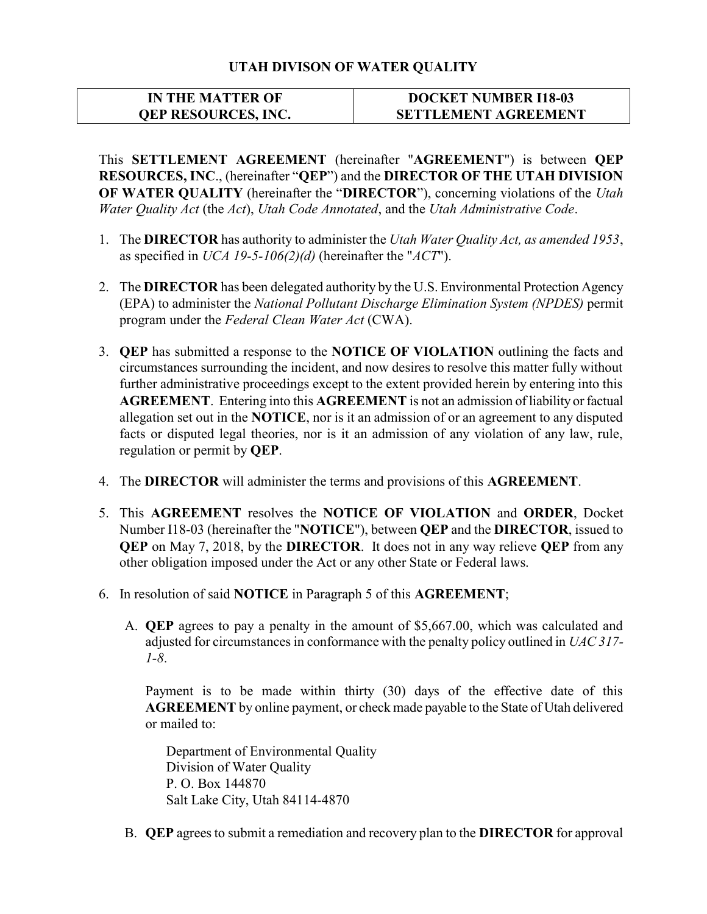## UTAH DIVISON OF WATER QUALITY

## IN THE MATTER OF QEP RESOURCES, INC. DOCKET NUMBER I18-03 SETTLEMENT AGREEMENT

This SETTLEMENT AGREEMENT (hereinafter "AGREEMENT") is between QEP RESOURCES, INC., (hereinafter "QEP") and the DIRECTOR OF THE UTAH DIVISION OF WATER QUALITY (hereinafter the "DIRECTOR"), concerning violations of the Utah Water Quality Act (the Act), Utah Code Annotated, and the Utah Administrative Code.

- 1. The DIRECTOR has authority to administer the Utah Water Quality Act, as amended 1953, as specified in UCA 19-5-106(2)(d) (hereinafter the "ACT").
- 2. The **DIRECTOR** has been delegated authority by the U.S. Environmental Protection Agency (EPA) to administer the National Pollutant Discharge Elimination System (NPDES) permit program under the Federal Clean Water Act (CWA).
- 3. QEP has submitted a response to the NOTICE OF VIOLATION outlining the facts and circumstances surrounding the incident, and now desires to resolve this matter fully without further administrative proceedings except to the extent provided herein by entering into this AGREEMENT. Entering into this AGREEMENT is not an admission of liability or factual allegation set out in the NOTICE, nor is it an admission of or an agreement to any disputed facts or disputed legal theories, nor is it an admission of any violation of any law, rule, regulation or permit by QEP.
- 4. The DIRECTOR will administer the terms and provisions of this AGREEMENT.
- 5. This AGREEMENT resolves the NOTICE OF VIOLATION and ORDER, Docket Number I18-03 (hereinafter the "NOTICE"), between QEP and the DIRECTOR, issued to QEP on May 7, 2018, by the DIRECTOR. It does not in any way relieve QEP from any other obligation imposed under the Act or any other State or Federal laws.
- 6. In resolution of said NOTICE in Paragraph 5 of this AGREEMENT;
	- A. QEP agrees to pay a penalty in the amount of \$5,667.00, which was calculated and adjusted for circumstances in conformance with the penalty policy outlined in UAC 317-1-8.

Payment is to be made within thirty (30) days of the effective date of this AGREEMENT by online payment, or check made payable to the State of Utah delivered or mailed to:

Department of Environmental Quality Division of Water Quality P. O. Box 144870 Salt Lake City, Utah 84114-4870

B. QEP agrees to submit a remediation and recovery plan to the DIRECTOR for approval